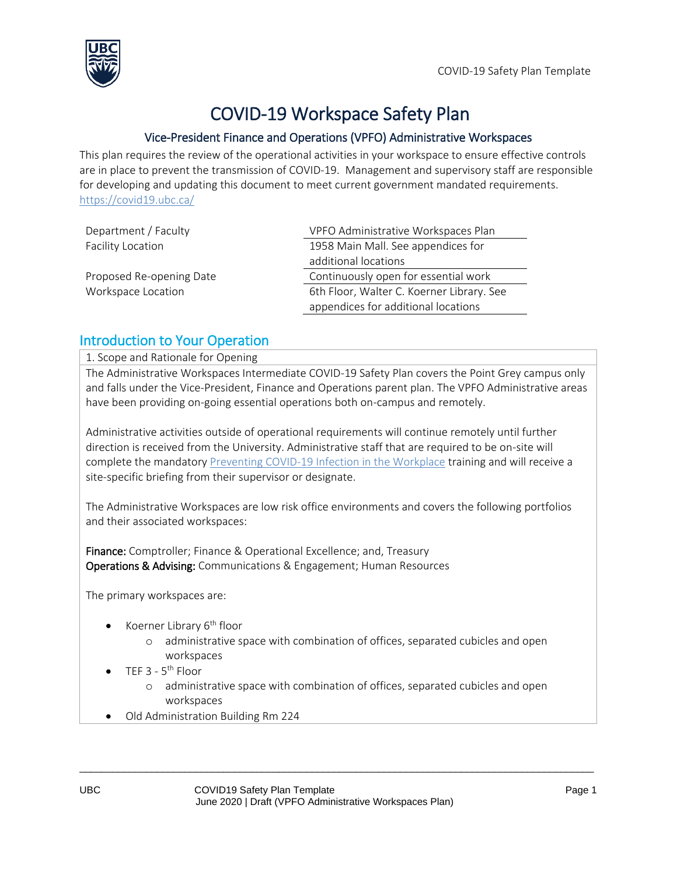

# COVID-19 Workspace Safety Plan

# Vice-President Finance and Operations (VPFO) Administrative Workspaces

This plan requires the review of the operational activities in your workspace to ensure effective controls are in place to prevent the transmission of COVID-19. Management and supervisory staff are responsible for developing and updating this document to meet current government mandated requirements. <https://covid19.ubc.ca/>

| Department / Faculty     | VPFO Administrative Workspaces Plan                                              |  |
|--------------------------|----------------------------------------------------------------------------------|--|
| Facility Location        | 1958 Main Mall. See appendices for<br>additional locations                       |  |
| Proposed Re-opening Date | Continuously open for essential work                                             |  |
| Workspace Location       | 6th Floor, Walter C. Koerner Library. See<br>appendices for additional locations |  |
|                          |                                                                                  |  |

# Introduction to Your Operation

1. Scope and Rationale for Opening

The Administrative Workspaces Intermediate COVID-19 Safety Plan covers the Point Grey campus only and falls under the Vice-President, Finance and Operations parent plan. The VPFO Administrative areas have been providing on-going essential operations both on-campus and remotely.

Administrative activities outside of operational requirements will continue remotely until further direction is received from the University. Administrative staff that are required to be on-site will complete the mandatory [Preventing COVID-19 Infection in the Workplace](https://wpl.ubc.ca/browse/srs/courses/wpl-srs-covid) training and will receive a site-specific briefing from their supervisor or designate.

The Administrative Workspaces are low risk office environments and covers the following portfolios and their associated workspaces:

Finance: Comptroller; Finance & Operational Excellence; and, Treasury Operations & Advising: Communications & Engagement; Human Resources

The primary workspaces are:

- Koerner Library 6<sup>th</sup> floor
	- o administrative space with combination of offices, separated cubicles and open workspaces
- $\bullet$  TEF 3 5<sup>th</sup> Floor
	- o administrative space with combination of offices, separated cubicles and open workspaces
- Old Administration Building Rm 224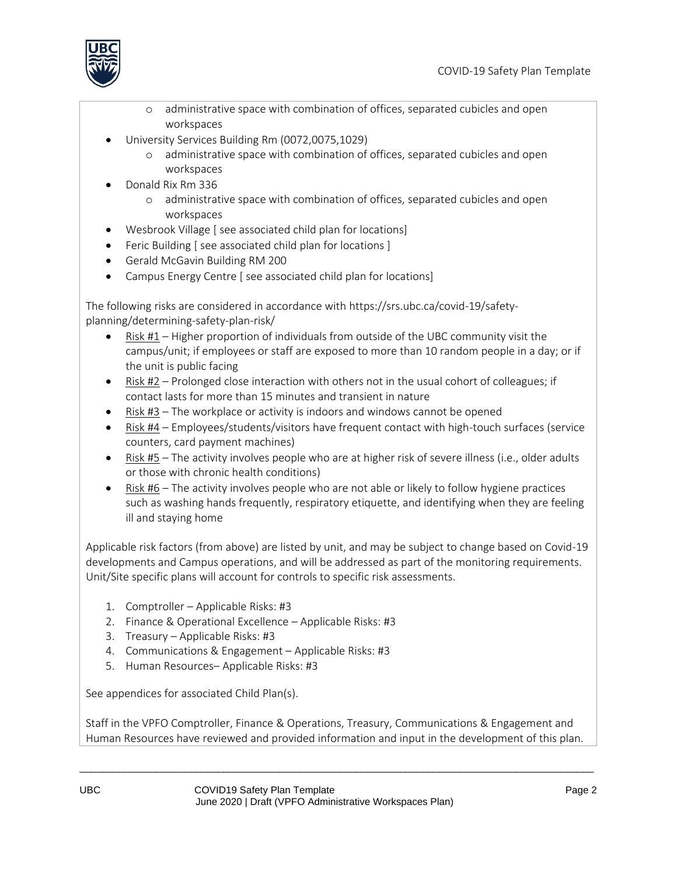

- o administrative space with combination of offices, separated cubicles and open workspaces
- University Services Building Rm (0072,0075,1029)
	- o administrative space with combination of offices, separated cubicles and open workspaces
- Donald Rix Rm 336
	- o administrative space with combination of offices, separated cubicles and open workspaces
- Wesbrook Village [ see associated child plan for locations]
- Feric Building [ see associated child plan for locations ]
- Gerald McGavin Building RM 200
- Campus Energy Centre [see associated child plan for locations]

The following risks are considered in accordance with [https://srs.ubc.ca/covid-19/safety](https://srs.ubc.ca/covid-19/safety-planning/determining-safety-plan-risk/)[planning/determining-safety-plan-risk/](https://srs.ubc.ca/covid-19/safety-planning/determining-safety-plan-risk/)

- Risk #1 Higher proportion of individuals from outside of the UBC community visit the campus/unit; if employees or staff are exposed to more than 10 random people in a day; or if the unit is public facing
- Risk #2 Prolonged close interaction with others not in the usual cohort of colleagues; if contact lasts for more than 15 minutes and transient in nature
- Risk #3 The workplace or activity is indoors and windows cannot be opened
- Risk #4 Employees/students/visitors have frequent contact with high-touch surfaces (service counters, card payment machines)
- Risk #5 The activity involves people who are at higher risk of severe illness (i.e., older adults or those with chronic health conditions)
- Risk #6 The activity involves people who are not able or likely to follow hygiene practices such as washing hands frequently, respiratory etiquette, and identifying when they are feeling ill and staying home

Applicable risk factors (from above) are listed by unit, and may be subject to change based on Covid-19 developments and Campus operations, and will be addressed as part of the monitoring requirements. Unit/Site specific plans will account for controls to specific risk assessments.

- 1. Comptroller Applicable Risks: #3
- 2. Finance & Operational Excellence Applicable Risks: #3
- 3. Treasury Applicable Risks: #3
- 4. Communications & Engagement Applicable Risks: #3
- 5. Human Resources– Applicable Risks: #3

See appendices for associated Child Plan(s).

Staff in the VPFO Comptroller, Finance & Operations, Treasury, Communications & Engagement and Human Resources have reviewed and provided information and input in the development of this plan.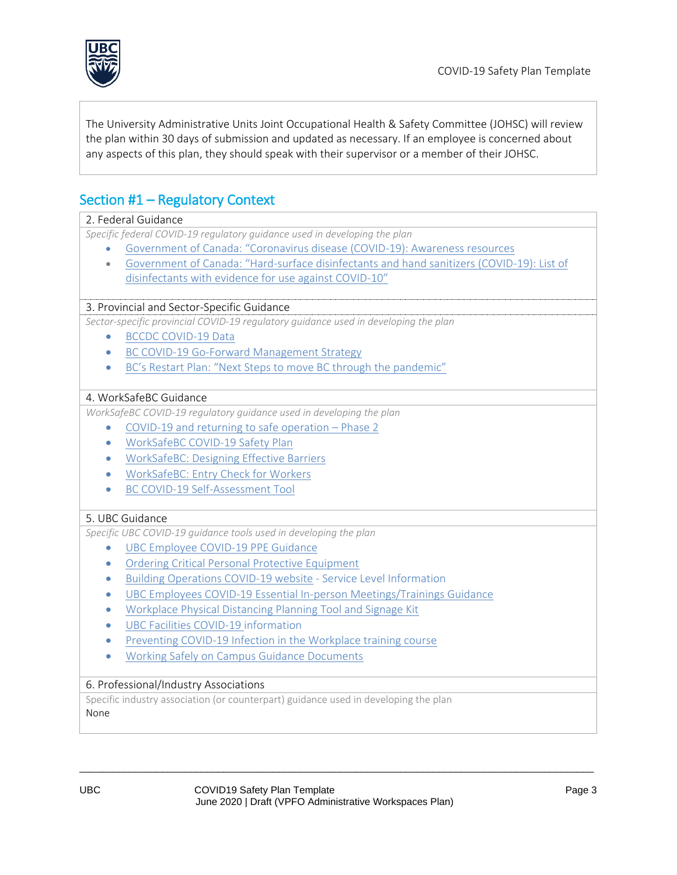

The University Administrative Units Joint Occupational Health & Safety Committee (JOHSC) will review the plan within 30 days of submission and updated as necessary. If an employee is concerned about any aspects of this plan, they should speak with their supervisor or a member of their JOHSC.

# Section #1 – Regulatory Context

# 2. Federal Guidance

*Specific federal COVID-19 regulatory guidance used in developing the plan*

- [Government of Canada: "Coronavirus disease \(COVID](https://www.canada.ca/en/public-health/services/diseases/2019-novel-coronavirus-infection/awareness-resources.html)-19): Awareness resources
- Government of Canada: "Hard[-surface disinfectants and hand sanitizers \(COVID-19\): List of](https://www.canada.ca/en/health-canada/services/drugs-health-products/disinfectants/covid-19/list.html)  [disinfectants with evidence for use against COVID-](https://www.canada.ca/en/health-canada/services/drugs-health-products/disinfectants/covid-19/list.html)10"

### 3. Provincial and Sector-Specific Guidance

*Sector-specific provincial COVID-19 regulatory guidance used in developing the plan*

- [BCCDC COVID-19 Data](http://www.bccdc.ca/health-info/diseases-conditions/covid-19/data)
- [BC COVID-19 Go-Forward Management Strategy](https://www2.gov.bc.ca/assets/gov/health/about-bc-s-health-care-system/office-of-the-provincial-health-officer/covid-19/bc_covid-19_go-forward_management_strategy_web.pdf)
- [BC's Restart Plan: "Next Steps to move BC through the pandemic"](https://www2.gov.bc.ca/assets/gov/public-safety-and-emergency-services/emergency-preparedness-response-recovery/gdx/bcs_restart_plan_web.pdf)

### 4. WorkSafeBC Guidance

*WorkSafeBC COVID-19 regulatory guidance used in developing the plan*

- [COVID-19 and returning to safe operation](https://www.worksafebc.com/en/about-us/covid-19-updates/covid-19-returning-safe-operation)  Phase 2
- [WorkSafeBC COVID-19 Safety Plan](https://www.worksafebc.com/en/resources/health-safety/checklist/covid-19-safety-plan?lang=en&origin=s&returnurl=https%3A%2F%2Fwww.worksafebc.com%2Fen%2Fforms-resources%23sort%3D%2540fcomputeditemdatefield343%2520descending%26f%3Alanguage-facet%3D%5BEnglish%5D%26tags%3DCovid-19%7Ca96b6c96607345c481bb8621425ea03f)
- [WorkSafeBC: Designing Effective Barriers](https://www.worksafebc.com/en/resources/health-safety/information-sheets/covid-19-health-safety-designing-effective-barriers?lang=en&origin=s&returnurl=https%3A%2F%2Fwww.worksafebc.com%2Fen%2Fforms-resources%23sort%3D%2540fcomputeditemdatefield343%2520descending%26f%3Alanguage-facet%3D%5BEnglish%5D%26tags%3DCovid-19%7Ca96b6c96607345c481bb8621425ea03f)
- [WorkSafeBC: Entry Check for Workers](https://www.worksafebc.com/en/resources/health-safety/posters/help-prevent-spread-covid-19-entry-check-workers?lang=en&origin=s&returnurl=https%3A%2F%2Fwww.worksafebc.com%2Fen%2Fforms-resources%23sort%3D%2540fcomputeditemdatefield343%2520descending%26f%3Alanguage-facet%3D%5BEnglish%5D%26tags%3DCovid-19%7Ca96b6c96607345c481bb8621425ea03f)
- [BC COVID-19 Self-Assessment Tool](https://bc.thrive.health/)

### 5. UBC Guidance

*Specific UBC COVID-19 guidance tools used in developing the plan*

- [UBC Employee COVID-19 PPE Guidance](https://riskmanagement.sites.olt.ubc.ca/files/2020/04/COVID-19-PPE-Guidance_final.pdf)
- [Ordering Critical Personal Protective Equipment](https://srs.ubc.ca/covid-19/health-safety-covid-19/working-safely/personal-protective-equipment/)
- [Building Operations COVID-19 website](http://facilities.ubc.ca/covid-19/) Service Level Information
- [UBC Employees COVID-19 Essential In-person Meetings/Trainings Guidance](https://riskmanagement.sites.olt.ubc.ca/files/2020/04/Guidelines-for-Meetings-Trainings-FINAL.pdf)
- [Workplace Physical Distancing Planning Tool and Signage Kit](https://srs.ubc.ca/covid-19/safety-planning/communications-resources/)
- [UBC Facilities COVID-19](http://facilities.ubc.ca/covid-19/) information
- [Preventing COVID-19 Infection in the Workplace training course](https://wpl.ubc.ca/)
- [Working Safely on Campus Guidance Documents](https://srs.ubc.ca/covid-19/health-safety-covid-19/working-safely/)

#### 6. Professional/Industry Associations

Specific industry association (or counterpart) guidance used in developing the plan None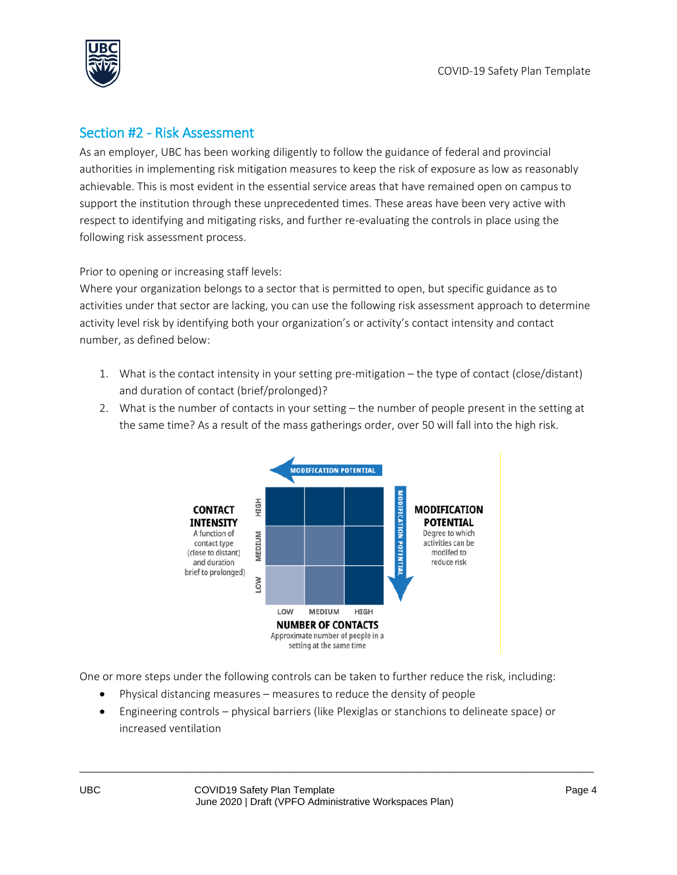

# Section #2 - Risk Assessment

As an employer, UBC has been working diligently to follow the guidance of federal and provincial authorities in implementing risk mitigation measures to keep the risk of exposure as low as reasonably achievable. This is most evident in the essential service areas that have remained open on campus to support the institution through these unprecedented times. These areas have been very active with respect to identifying and mitigating risks, and further re-evaluating the controls in place using the following risk assessment process.

Prior to opening or increasing staff levels:

Where your organization belongs to a sector that is permitted to open, but specific guidance as to activities under that sector are lacking, you can use the following risk assessment approach to determine activity level risk by identifying both your organization's or activity's contact intensity and contact number, as defined below:

- 1. What is the contact intensity in your setting pre-mitigation the type of contact (close/distant) and duration of contact (brief/prolonged)?
- 2. What is the number of contacts in your setting the number of people present in the setting at the same time? As a result of the mass gatherings order, over 50 will fall into the high risk.



One or more steps under the following controls can be taken to further reduce the risk, including:

- Physical distancing measures measures to reduce the density of people
- Engineering controls physical barriers (like Plexiglas or stanchions to delineate space) or increased ventilation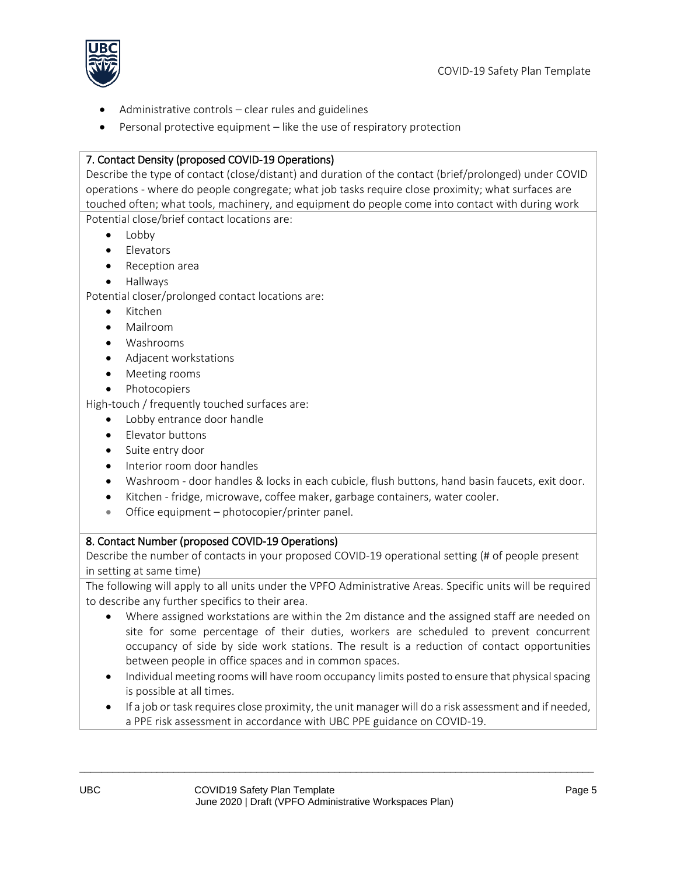

- Administrative controls clear rules and guidelines
- Personal protective equipment like the use of respiratory protection

### 7. Contact Density (proposed COVID-19 Operations)

Describe the type of contact (close/distant) and duration of the contact (brief/prolonged) under COVID operations - where do people congregate; what job tasks require close proximity; what surfaces are touched often; what tools, machinery, and equipment do people come into contact with during work

Potential close/brief contact locations are:

- Lobby
- Elevators
- Reception area
- Hallways

Potential closer/prolonged contact locations are:

- Kitchen
- Mailroom
- Washrooms
- Adjacent workstations
- Meeting rooms
- **Photocopiers**

High-touch / frequently touched surfaces are:

- Lobby entrance door handle
- Elevator buttons
- Suite entry door
- Interior room door handles
- Washroom door handles & locks in each cubicle, flush buttons, hand basin faucets, exit door.
- Kitchen fridge, microwave, coffee maker, garbage containers, water cooler.
- Office equipment photocopier/printer panel.

#### 8. Contact Number (proposed COVID-19 Operations)

Describe the number of contacts in your proposed COVID-19 operational setting (# of people present in setting at same time)

The following will apply to all units under the VPFO Administrative Areas. Specific units will be required to describe any further specifics to their area.

- Where assigned workstations are within the 2m distance and the assigned staff are needed on site for some percentage of their duties, workers are scheduled to prevent concurrent occupancy of side by side work stations. The result is a reduction of contact opportunities between people in office spaces and in common spaces.
- Individual meeting rooms will have room occupancy limits posted to ensure that physical spacing is possible at all times.
- If a job or task requires close proximity, the unit manager will do a risk assessment and if needed, a PPE risk assessment in accordance with UBC PPE guidance on COVID-19.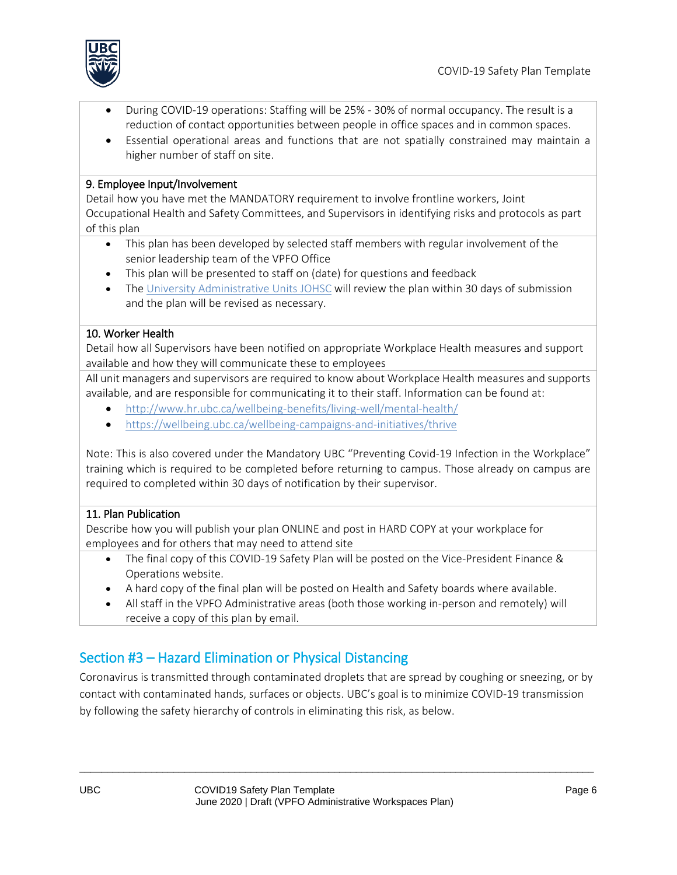



- During COVID-19 operations: Staffing will be 25% 30% of normal occupancy. The result is a reduction of contact opportunities between people in office spaces and in common spaces.
- Essential operational areas and functions that are not spatially constrained may maintain a higher number of staff on site.

### 9. Employee Input/Involvement

Detail how you have met the MANDATORY requirement to involve frontline workers, Joint Occupational Health and Safety Committees, and Supervisors in identifying risks and protocols as part of this plan

- This plan has been developed by selected staff members with regular involvement of the senior leadership team of the VPFO Office
- This plan will be presented to staff on (date) for questions and feedback
- Th[e University Administrative Units](https://safetycommittees.ubc.ca/johsc/find-your-johsc/joint-occupational-health-safety-committees/vp-finance-operations-portfolio/administrative-units/) JOHSC will review the plan within 30 days of submission and the plan will be revised as necessary.

### 10. Worker Health

Detail how all Supervisors have been notified on appropriate Workplace Health measures and support available and how they will communicate these to employees

All unit managers and supervisors are required to know about Workplace Health measures and supports available, and are responsible for communicating it to their staff. Information can be found at:

- <http://www.hr.ubc.ca/wellbeing-benefits/living-well/mental-health/>
- <https://wellbeing.ubc.ca/wellbeing-campaigns-and-initiatives/thrive>

Note: This is also covered under the Mandatory UBC "Preventing Covid-19 Infection in the Workplace" training which is required to be completed before returning to campus. Those already on campus are required to completed within 30 days of notification by their supervisor.

# 11. Plan Publication

Describe how you will publish your plan ONLINE and post in HARD COPY at your workplace for employees and for others that may need to attend site

- The final copy of this COVID-19 Safety Plan will be posted on the Vice-President Finance & Operations website.
- A hard copy of the final plan will be posted on Health and Safety boards where available.
- All staff in the VPFO Administrative areas (both those working in-person and remotely) will receive a copy of this plan by email.

# Section #3 – Hazard Elimination or Physical Distancing

Coronavirus is transmitted through contaminated droplets that are spread by coughing or sneezing, or by contact with contaminated hands, surfaces or objects. UBC's goal is to minimize COVID-19 transmission by following the safety hierarchy of controls in eliminating this risk, as below.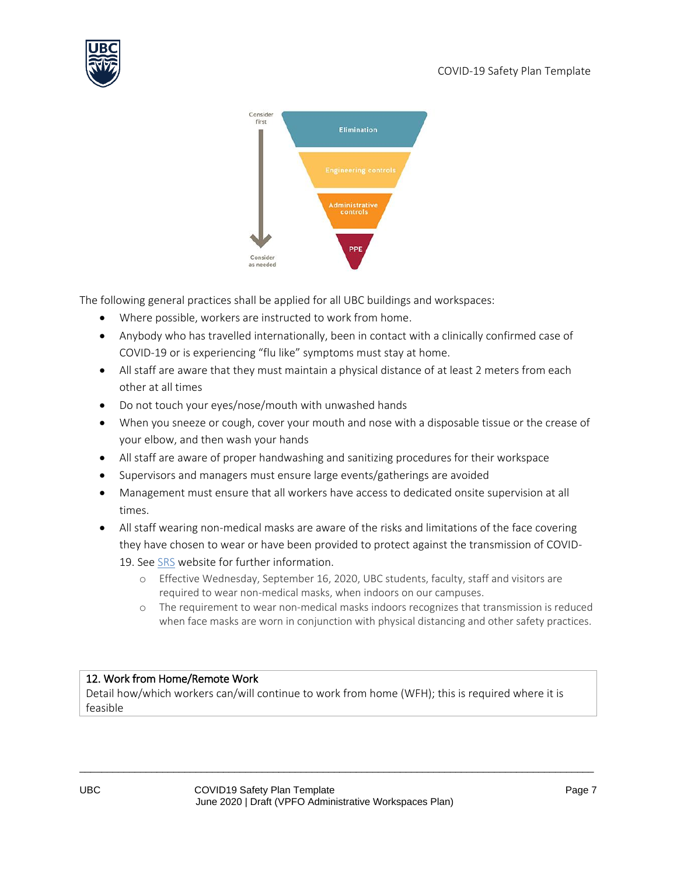



The following general practices shall be applied for all UBC buildings and workspaces:

- Where possible, workers are instructed to work from home.
- Anybody who has travelled internationally, been in contact with a clinically confirmed case of COVID-19 or is experiencing "flu like" symptoms must stay at home.
- All staff are aware that they must maintain a physical distance of at least 2 meters from each other at all times
- Do not touch your eyes/nose/mouth with unwashed hands
- When you sneeze or cough, cover your mouth and nose with a disposable tissue or the crease of your elbow, and then wash your hands
- All staff are aware of proper handwashing and sanitizing procedures for their workspace
- Supervisors and managers must ensure large events/gatherings are avoided
- Management must ensure that all workers have access to dedicated onsite supervision at all times.
- All staff wearing non-medical masks are aware of the risks and limitations of the face covering they have chosen to wear or have been provided to protect against the transmission of COVID-
	- 19. Se[e SRS](https://srs.ubc.ca/covid-19/) website for further information.
		- o Effective Wednesday, September 16, 2020, UBC students, faculty, staff and visitors are required to wear non-medical masks, when indoors on our campuses.
		- o The requirement to wear non-medical masks indoors recognizes that transmission is reduced when face masks are worn in conjunction with physical distancing and other safety practices.

#### 12. Work from Home/Remote Work

Detail how/which workers can/will continue to work from home (WFH); this is required where it is feasible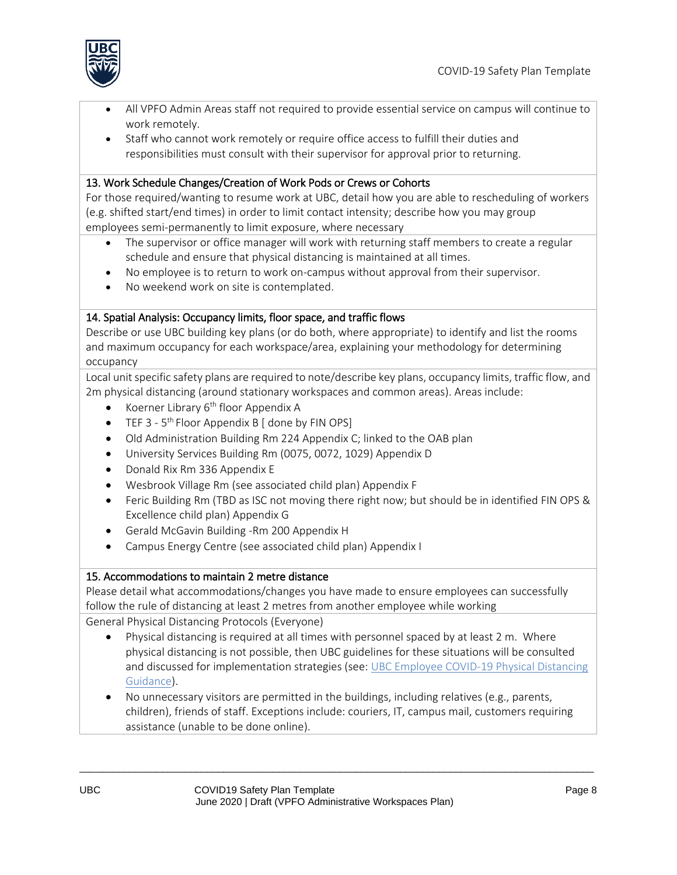

- All VPFO Admin Areas staff not required to provide essential service on campus will continue to work remotely.
- Staff who cannot work remotely or require office access to fulfill their duties and responsibilities must consult with their supervisor for approval prior to returning.

### 13. Work Schedule Changes/Creation of Work Pods or Crews or Cohorts

For those required/wanting to resume work at UBC, detail how you are able to rescheduling of workers (e.g. shifted start/end times) in order to limit contact intensity; describe how you may group employees semi-permanently to limit exposure, where necessary

- The supervisor or office manager will work with returning staff members to create a regular schedule and ensure that physical distancing is maintained at all times.
- No employee is to return to work on-campus without approval from their supervisor.
- No weekend work on site is contemplated.

### 14. Spatial Analysis: Occupancy limits, floor space, and traffic flows

Describe or use UBC building key plans (or do both, where appropriate) to identify and list the rooms and maximum occupancy for each workspace/area, explaining your methodology for determining occupancy

Local unit specific safety plans are required to note/describe key plans, occupancy limits, traffic flow, and 2m physical distancing (around stationary workspaces and common areas). Areas include:

- Koerner Library  $6<sup>th</sup>$  floor Appendix A
- TEF 3 5<sup>th</sup> Floor Appendix B [ done by FIN OPS]
- Old Administration Building Rm 224 Appendix C; linked to the OAB plan
- University Services Building Rm (0075, 0072, 1029) Appendix D
- Donald Rix Rm 336 Appendix E
- Wesbrook Village Rm (see associated child plan) Appendix F
- Feric Building Rm (TBD as ISC not moving there right now; but should be in identified FIN OPS & Excellence child plan) Appendix G
- Gerald McGavin Building -Rm 200 Appendix H
- Campus Energy Centre (see associated child plan) Appendix I

### 15. Accommodations to maintain 2 metre distance

Please detail what accommodations/changes you have made to ensure employees can successfully follow the rule of distancing at least 2 metres from another employee while working

General Physical Distancing Protocols (Everyone)

- Physical distancing is required at all times with personnel spaced by at least 2 m. Where physical distancing is not possible, then UBC guidelines for these situations will be consulted and discussed for implementation strategies (see: [UBC Employee COVID-19 Physical Distancing](https://riskmanagement.sites.olt.ubc.ca/files/2020/04/COVID-19-Physical-Distancing-Guidance-FINAL-.pdf)  [Guidance\)](https://riskmanagement.sites.olt.ubc.ca/files/2020/04/COVID-19-Physical-Distancing-Guidance-FINAL-.pdf).
- No unnecessary visitors are permitted in the buildings, including relatives (e.g., parents, children), friends of staff. Exceptions include: couriers, IT, campus mail, customers requiring assistance (unable to be done online).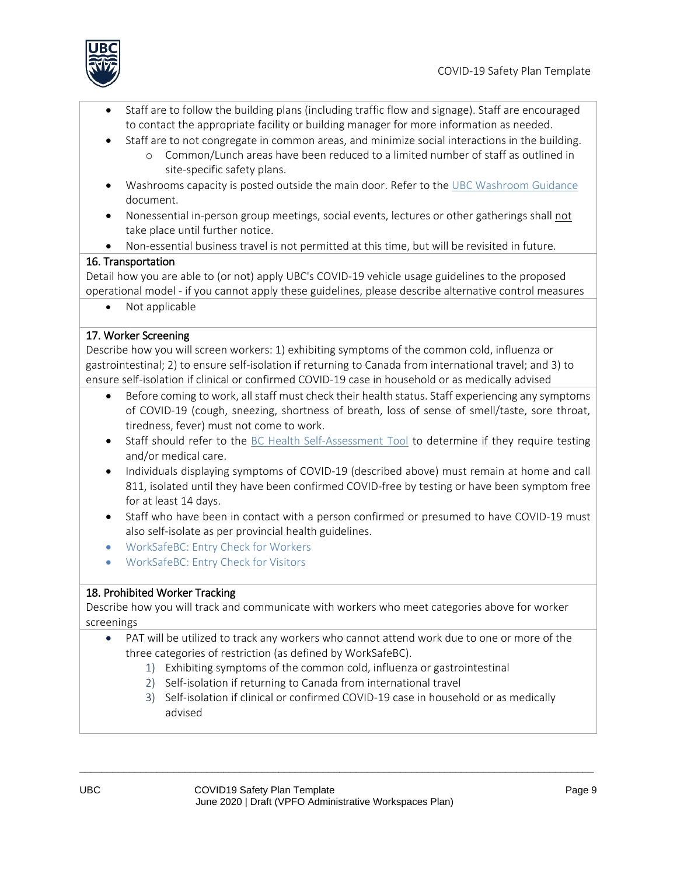

- Staff are to follow the building plans (including traffic flow and signage). Staff are encouraged to contact the appropriate facility or building manager for more information as needed.
	- Staff are to not congregate in common areas, and minimize social interactions in the building.
		- o Common/Lunch areas have been reduced to a limited number of staff as outlined in site-specific safety plans.
- Washrooms capacity is posted outside the main door. Refer to the [UBC Washroom Guidance](https://srs.ubc.ca/files/2020/06/6.-Guidelines-for-Safe-Washroom-Re-Occupancy.pdf) document.
- Nonessential in-person group meetings, social events, lectures or other gatherings shall not take place until further notice.
- Non-essential business travel is not permitted at this time, but will be revisited in future.

# 16. Transportation

Detail how you are able to (or not) apply UBC's COVID-19 vehicle usage guidelines to the proposed operational model - if you cannot apply these guidelines, please describe alternative control measures

• Not applicable

# 17. Worker Screening

Describe how you will screen workers: 1) exhibiting symptoms of the common cold, influenza or gastrointestinal; 2) to ensure self-isolation if returning to Canada from international travel; and 3) to ensure self-isolation if clinical or confirmed COVID-19 case in household or as medically advised

- Before coming to work, all staff must check their health status. Staff experiencing any symptoms of COVID-19 (cough, sneezing, shortness of breath, loss of sense of smell/taste, sore throat, tiredness, fever) must not come to work.
- Staff should refer to the [BC Health Self-Assessment Tool](https://bc.thrive.health/) to determine if they require testing and/or medical care.
- Individuals displaying symptoms of COVID-19 (described above) must remain at home and call 811, isolated until they have been confirmed COVID-free by testing or have been symptom free for at least 14 days.
- Staff who have been in contact with a person confirmed or presumed to have COVID-19 must also self-isolate as per provincial health guidelines.
- [WorkSafeBC: Entry Check for Workers](https://www.worksafebc.com/en/resources/health-safety/posters/help-prevent-spread-covid-19-entry-check-workers?lang=en&origin=s&returnurl=https%3A%2F%2Fwww.worksafebc.com%2Fen%2Fforms-resources%23sort%3D%2540fcomputeditemdatefield343%2520descending%26f%3Alanguage-facet%3D%5BEnglish%5D%26tags%3DCovid-19%7Ca96b6c96607345c481bb8621425ea03f)
- [WorkSafeBC: Entry Check for Visitors](https://www.worksafebc.com/en/resources/health-safety/posters/help-prevent-spread-covid-19-entry-check-visitors?lang=en&origin=s&returnurl=https%3A%2F%2Fwww.worksafebc.com%2Fen%2Fforms-resources%23sort%3D%2540fcomputeditemdatefield343%2520descending%26f%3Alanguage-facet%3D%5BEnglish%5D%26tags%3DCovid-19%7Ca96b6c96607345c481bb8621425ea03f)

### 18. Prohibited Worker Tracking

Describe how you will track and communicate with workers who meet categories above for worker screenings

- PAT will be utilized to track any workers who cannot attend work due to one or more of the three categories of restriction (as defined by WorkSafeBC).
	- 1) Exhibiting symptoms of the common cold, influenza or gastrointestinal
	- 2) Self-isolation if returning to Canada from international travel
	- 3) Self-isolation if clinical or confirmed COVID-19 case in household or as medically advised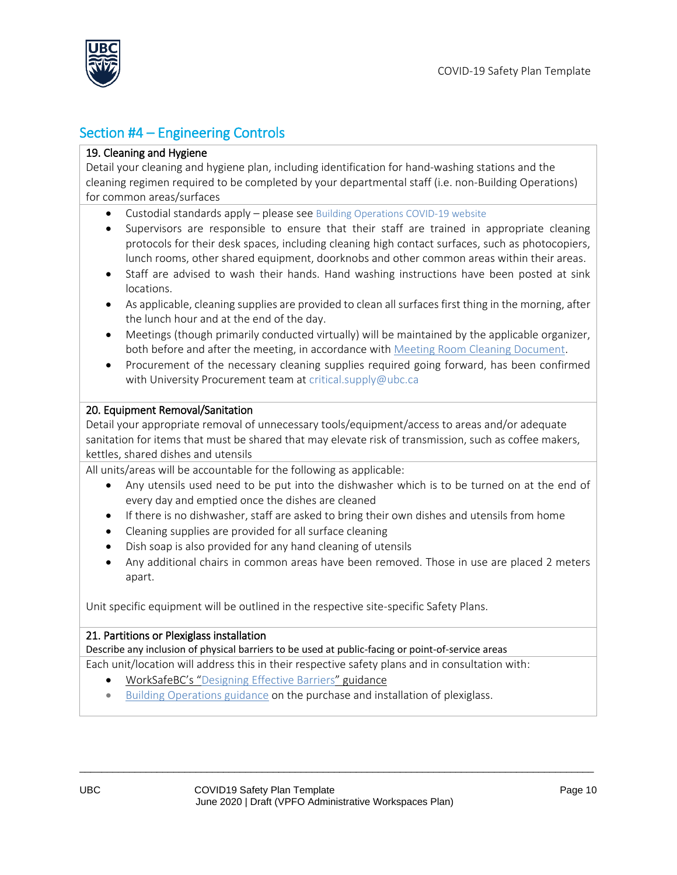

# Section #4 – Engineering Controls

### 19. Cleaning and Hygiene

Detail your cleaning and hygiene plan, including identification for hand-washing stations and the cleaning regimen required to be completed by your departmental staff (i.e. non-Building Operations) for common areas/surfaces

- Custodial standards apply please see [Building Operations COVID-19 website](http://facilities.ubc.ca/covid-19/)
- Supervisors are responsible to ensure that their staff are trained in appropriate cleaning protocols for their desk spaces, including cleaning high contact surfaces, such as photocopiers, lunch rooms, other shared equipment, doorknobs and other common areas within their areas.
- Staff are advised to wash their hands. Hand washing instructions have been posted at sink locations.
- As applicable, cleaning supplies are provided to clean all surfaces first thing in the morning, after the lunch hour and at the end of the day.
- Meetings (though primarily conducted virtually) will be maintained by the applicable organizer, both before and after the meeting, in accordance with [Meeting Room Cleaning Document.](file://///teamshare.ead.ubc.ca/team/FCOM/Department/Covid-Cleaning/Shared%20Space%20Cleaning%20Protocol.docx)
- Procurement of the necessary cleaning supplies required going forward, has been confirmed with University Procurement team at [critical.supply@ubc.ca](mailto:critical.supply@ubc.ca)

### 20. Equipment Removal/Sanitation

Detail your appropriate removal of unnecessary tools/equipment/access to areas and/or adequate sanitation for items that must be shared that may elevate risk of transmission, such as coffee makers, kettles, shared dishes and utensils

All units/areas will be accountable for the following as applicable:

- Any utensils used need to be put into the dishwasher which is to be turned on at the end of every day and emptied once the dishes are cleaned
- If there is no dishwasher, staff are asked to bring their own dishes and utensils from home
- Cleaning supplies are provided for all surface cleaning
- Dish soap is also provided for any hand cleaning of utensils
- Any additional chairs in common areas have been removed. Those in use are placed 2 meters apart.

Unit specific equipment will be outlined in the respective site-specific Safety Plans.

### 21. Partitions or Plexiglass installation

Describe any inclusion of physical barriers to be used at public-facing or point-of-service areas

Each unit/location will address this in their respective safety plans and in consultation with:

- WorkSafeBC's "[Designing Effective Barriers](https://www.worksafebc.com/en/resources/health-safety/information-sheets/covid-19-health-safety-designing-effective-barriers?lang=en)" guidance
- [Building Operations guidance](https://facilities.ubc.ca/covid-19/package-for-building-administrators/) on the purchase and installation of plexiglass.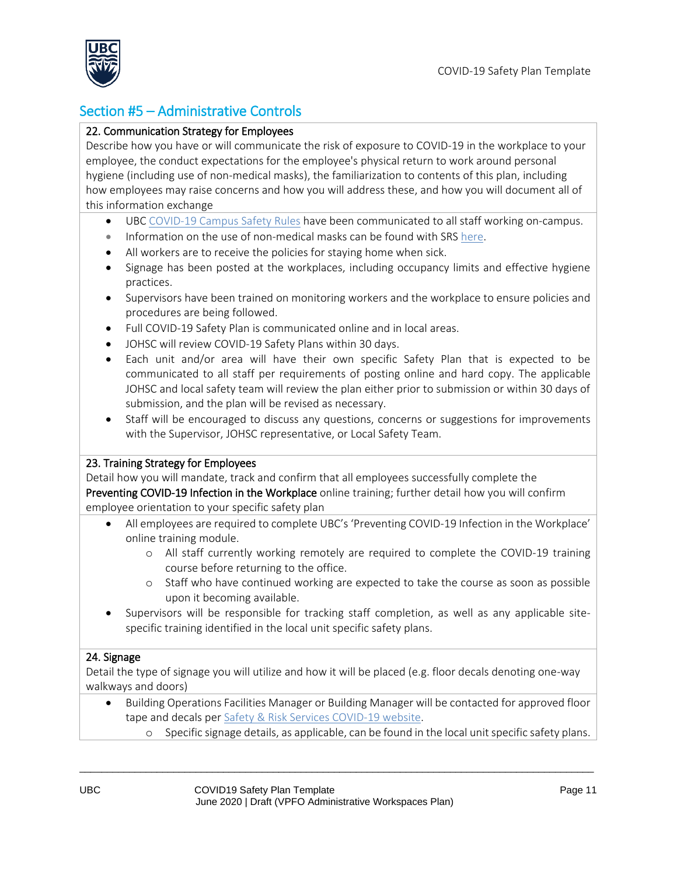

# Section #5 – Administrative Controls

### 22. Communication Strategy for Employees

Describe how you have or will communicate the risk of exposure to COVID-19 in the workplace to your employee, the conduct expectations for the employee's physical return to work around personal hygiene (including use of non-medical masks), the familiarization to contents of this plan, including how employees may raise concerns and how you will address these, and how you will document all of this information exchange

- UBC [COVID-19 Campus Safety Rules](https://srs.ubc.ca/files/2020/06/4.-COVID-19-Campus-Rules.pdf) have been communicated to all staff working on-campus.
- Information on the use of non-medical masks can be found with SRS [here.](https://srs.ubc.ca/2020/05/13/non-medical-masks-and-the-risks-associated-with-them/)
- All workers are to receive the policies for staying home when sick.
- Signage has been posted at the workplaces, including occupancy limits and effective hygiene practices.
- Supervisors have been trained on monitoring workers and the workplace to ensure policies and procedures are being followed.
- Full COVID-19 Safety Plan is communicated online and in local areas.
- JOHSC will review COVID-19 Safety Plans within 30 days.
- Each unit and/or area will have their own specific Safety Plan that is expected to be communicated to all staff per requirements of posting online and hard copy. The applicable JOHSC and local safety team will review the plan either prior to submission or within 30 days of submission, and the plan will be revised as necessary.
- Staff will be encouraged to discuss any questions, concerns or suggestions for improvements with the Supervisor, JOHSC representative, or Local Safety Team.

#### 23. Training Strategy for Employees

Detail how you will mandate, track and confirm that all employees successfully complete the Preventing COVID-19 Infection in the Workplace online training; further detail how you will confirm employee orientation to your specific safety plan

- All employees are required to complete UBC's 'Preventing COVID-19 Infection in the Workplace' online training module.
	- o All staff currently working remotely are required to complete the COVID-19 training course before returning to the office.
	- o Staff who have continued working are expected to take the course as soon as possible upon it becoming available.
- Supervisors will be responsible for tracking staff completion, as well as any applicable sitespecific training identified in the local unit specific safety plans.

#### 24. Signage

Detail the type of signage you will utilize and how it will be placed (e.g. floor decals denoting one-way walkways and doors)

- Building Operations Facilities Manager or Building Manager will be contacted for approved floor tape and decals per [Safety & Risk Services COVID-19 website.](https://srs.ubc.ca/covid-19/communications-resources/)
	- o Specific signage details, as applicable, can be found in the local unit specific safety plans.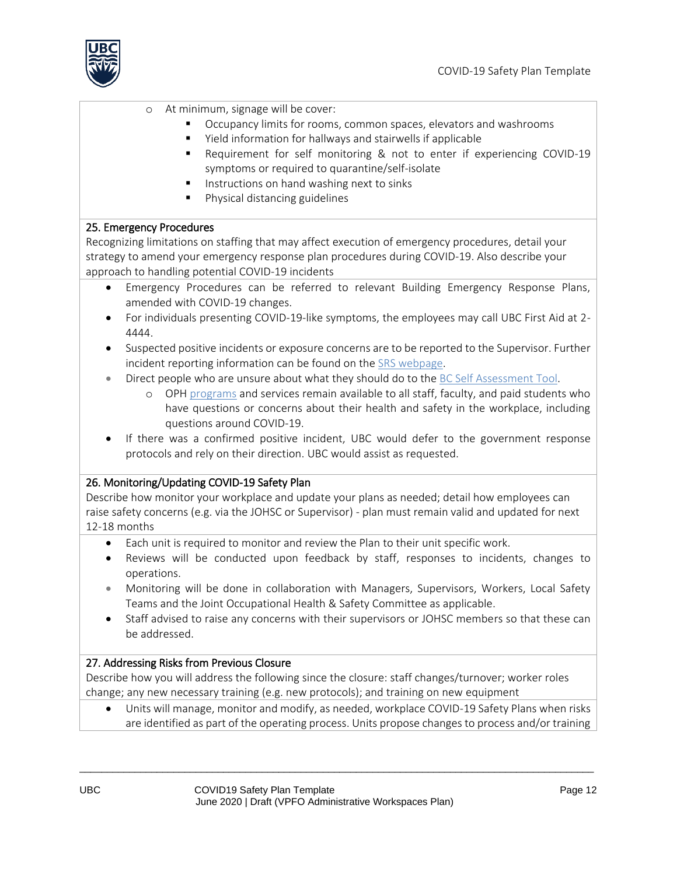

- o At minimum, signage will be cover:
	- Occupancy limits for rooms, common spaces, elevators and washrooms
	- Yield information for hallways and stairwells if applicable
	- Requirement for self monitoring & not to enter if experiencing COVID-19 symptoms or required to quarantine/self-isolate
	- Instructions on hand washing next to sinks
	- Physical distancing guidelines

### 25. Emergency Procedures

Recognizing limitations on staffing that may affect execution of emergency procedures, detail your strategy to amend your emergency response plan procedures during COVID-19. Also describe your approach to handling potential COVID-19 incidents

- Emergency Procedures can be referred to relevant Building Emergency Response Plans, amended with COVID-19 changes.
- For individuals presenting COVID-19-like symptoms, the employees may call UBC First Aid at 2- 4444.
- Suspected positive incidents or exposure concerns are to be reported to the Supervisor. Further incident reporting information can be found on the [SRS webpage.](https://srs.ubc.ca/covid-19/health-safety-covid-19/reporting-covid-19-exposure/)
- Direct people who are unsure about what they should do to th[e BC Self Assessment Tool.](https://bc.thrive.health/)
	- o OPH [programs](http://www.hr.ubc.ca/wellbeing-benefits/workplace-health/occupational-preventive-health/) and services remain available to all staff, faculty, and paid students who have questions or concerns about their health and safety in the workplace, including questions around COVID-19.
- If there was a confirmed positive incident, UBC would defer to the government response protocols and rely on their direction. UBC would assist as requested.

# 26. Monitoring/Updating COVID-19 Safety Plan

Describe how monitor your workplace and update your plans as needed; detail how employees can raise safety concerns (e.g. via the JOHSC or Supervisor) - plan must remain valid and updated for next 12-18 months

- Each unit is required to monitor and review the Plan to their unit specific work.
- Reviews will be conducted upon feedback by staff, responses to incidents, changes to operations.
- Monitoring will be done in collaboration with Managers, Supervisors, Workers, Local Safety Teams and the Joint Occupational Health & Safety Committee as applicable.
- Staff advised to raise any concerns with their supervisors or JOHSC members so that these can be addressed.

# 27. Addressing Risks from Previous Closure

Describe how you will address the following since the closure: staff changes/turnover; worker roles change; any new necessary training (e.g. new protocols); and training on new equipment

• Units will manage, monitor and modify, as needed, workplace COVID-19 Safety Plans when risks are identified as part of the operating process. Units propose changes to process and/or training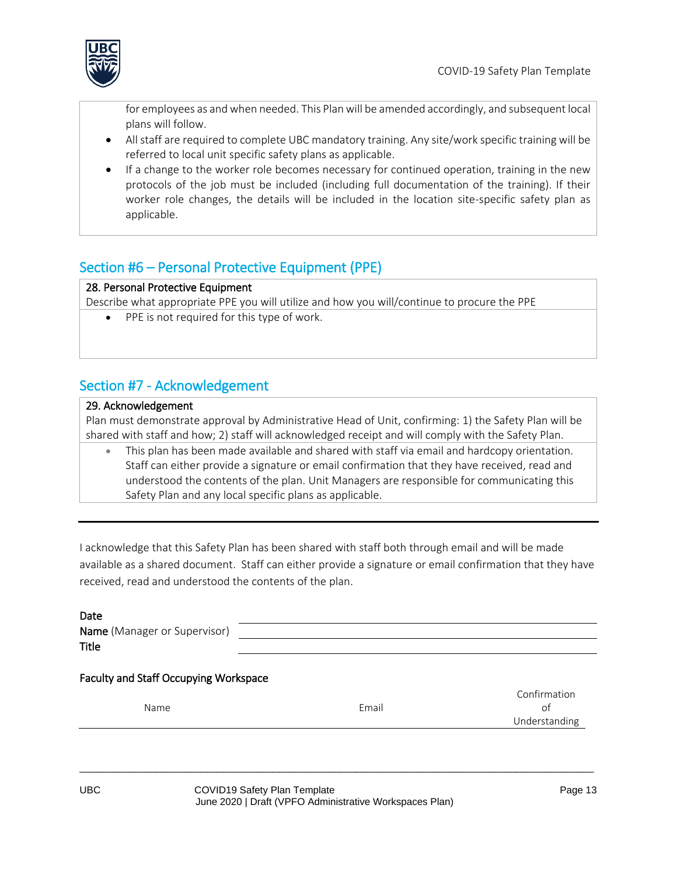

for employees as and when needed. This Plan will be amended accordingly, and subsequent local plans will follow.

- All staff are required to complete UBC mandatory training. Any site/work specific training will be referred to local unit specific safety plans as applicable.
- If a change to the worker role becomes necessary for continued operation, training in the new protocols of the job must be included (including full documentation of the training). If their worker role changes, the details will be included in the location site-specific safety plan as applicable.

# Section #6 – Personal Protective Equipment (PPE)

### 28. Personal Protective Equipment

Describe what appropriate PPE you will utilize and how you will/continue to procure the PPE

PPE is not required for this type of work.

# Section #7 - Acknowledgement

### 29. Acknowledgement

Plan must demonstrate approval by Administrative Head of Unit, confirming: 1) the Safety Plan will be shared with staff and how; 2) staff will acknowledged receipt and will comply with the Safety Plan.

• This plan has been made available and shared with staff via email and hardcopy orientation. Staff can either provide a signature or email confirmation that they have received, read and understood the contents of the plan. Unit Managers are responsible for communicating this Safety Plan and any local specific plans as applicable.

I acknowledge that this Safety Plan has been shared with staff both through email and will be made available as a shared document. Staff can either provide a signature or email confirmation that they have received, read and understood the contents of the plan.

| Date<br>Name (Manager or Supervisor)<br>Title |       |                                     |
|-----------------------------------------------|-------|-------------------------------------|
| Faculty and Staff Occupying Workspace         |       |                                     |
| Name                                          | Email | Confirmation<br>of<br>Understanding |
|                                               |       |                                     |
|                                               |       |                                     |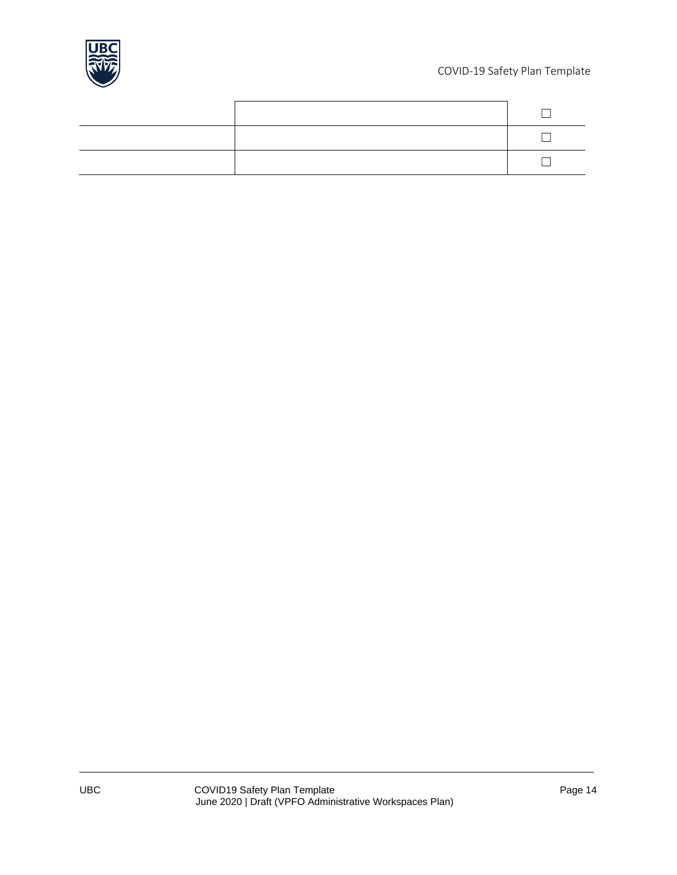

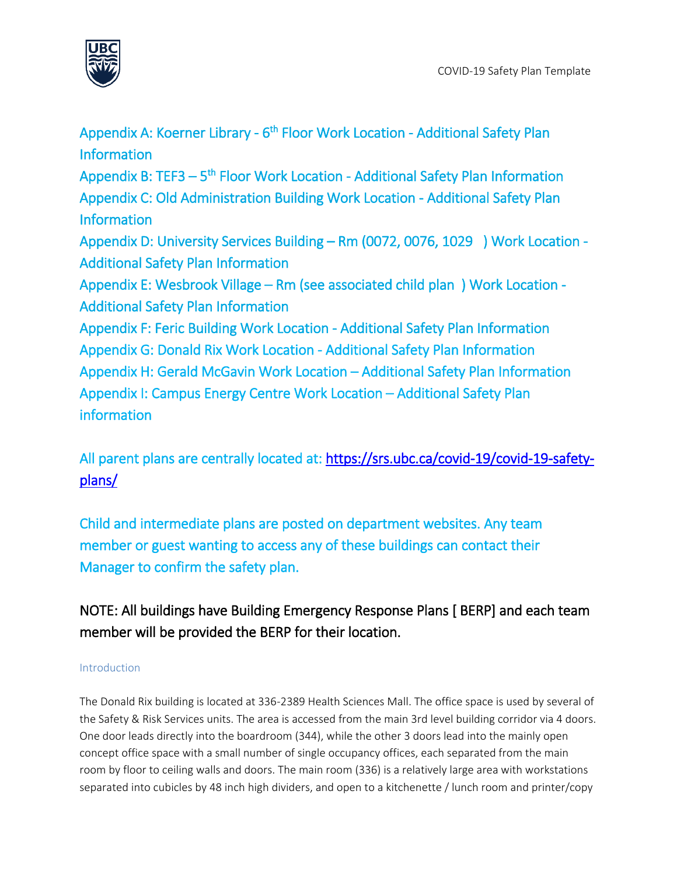

Appendix A: Koerner Library - 6<sup>th</sup> Floor Work Location - Additional Safety Plan Information Appendix B: TEF3 – 5<sup>th</sup> Floor Work Location - Additional Safety Plan Information Appendix C: Old Administration Building Work Location - Additional Safety Plan Information Appendix D: University Services Building – Rm (0072, 0076, 1029 ) Work Location - Additional Safety Plan Information Appendix E: Wesbrook Village – Rm (see associated child plan ) Work Location - Additional Safety Plan Information Appendix F: Feric Building Work Location - Additional Safety Plan Information Appendix G: Donald Rix Work Location - Additional Safety Plan Information Appendix H: Gerald McGavin Work Location – Additional Safety Plan Information Appendix I: Campus Energy Centre Work Location – Additional Safety Plan information

All parent plans are centrally located at: [https://srs.ubc.ca/covid-19/covid-19-safety](https://srs.ubc.ca/covid-19/covid-19-safety-plans/)[plans/](https://srs.ubc.ca/covid-19/covid-19-safety-plans/) 

Child and intermediate plans are posted on department websites. Any team member or guest wanting to access any of these buildings can contact their Manager to confirm the safety plan.

NOTE: All buildings have Building Emergency Response Plans [ BERP] and each team member will be provided the BERP for their location.

# Introduction

The Donald Rix building is located at 336-2389 Health Sciences Mall. The office space is used by several of the Safety & Risk Services units. The area is accessed from the main 3rd level building corridor via 4 doors. One door leads directly into the boardroom (344), while the other 3 doors lead into the mainly open concept office space with a small number of single occupancy offices, each separated from the main room by floor to ceiling walls and doors. The main room (336) is a relatively large area with workstations separated into cubicles by 48 inch high dividers, and open to a kitchenette / lunch room and printer/copy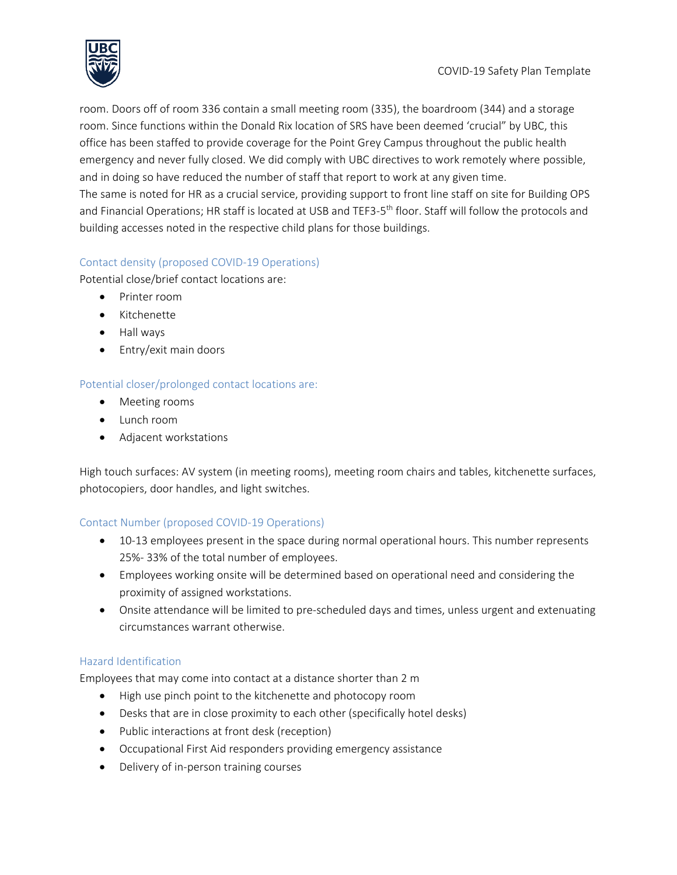

room. Doors off of room 336 contain a small meeting room (335), the boardroom (344) and a storage room. Since functions within the Donald Rix location of SRS have been deemed 'crucial" by UBC, this office has been staffed to provide coverage for the Point Grey Campus throughout the public health emergency and never fully closed. We did comply with UBC directives to work remotely where possible, and in doing so have reduced the number of staff that report to work at any given time. The same is noted for HR as a crucial service, providing support to front line staff on site for Building OPS and Financial Operations; HR staff is located at USB and TEF3-5<sup>th</sup> floor. Staff will follow the protocols and building accesses noted in the respective child plans for those buildings.

# Contact density (proposed COVID-19 Operations)

Potential close/brief contact locations are:

- Printer room
- Kitchenette
- Hall ways
- Entry/exit main doors

### Potential closer/prolonged contact locations are:

- Meeting rooms
- Lunch room
- Adjacent workstations

High touch surfaces: AV system (in meeting rooms), meeting room chairs and tables, kitchenette surfaces, photocopiers, door handles, and light switches.

### Contact Number (proposed COVID-19 Operations)

- 10-13 employees present in the space during normal operational hours. This number represents 25%- 33% of the total number of employees.
- Employees working onsite will be determined based on operational need and considering the proximity of assigned workstations.
- Onsite attendance will be limited to pre-scheduled days and times, unless urgent and extenuating circumstances warrant otherwise.

### Hazard Identification

Employees that may come into contact at a distance shorter than 2 m

- High use pinch point to the kitchenette and photocopy room
- Desks that are in close proximity to each other (specifically hotel desks)
- Public interactions at front desk (reception)
- Occupational First Aid responders providing emergency assistance
- Delivery of in-person training courses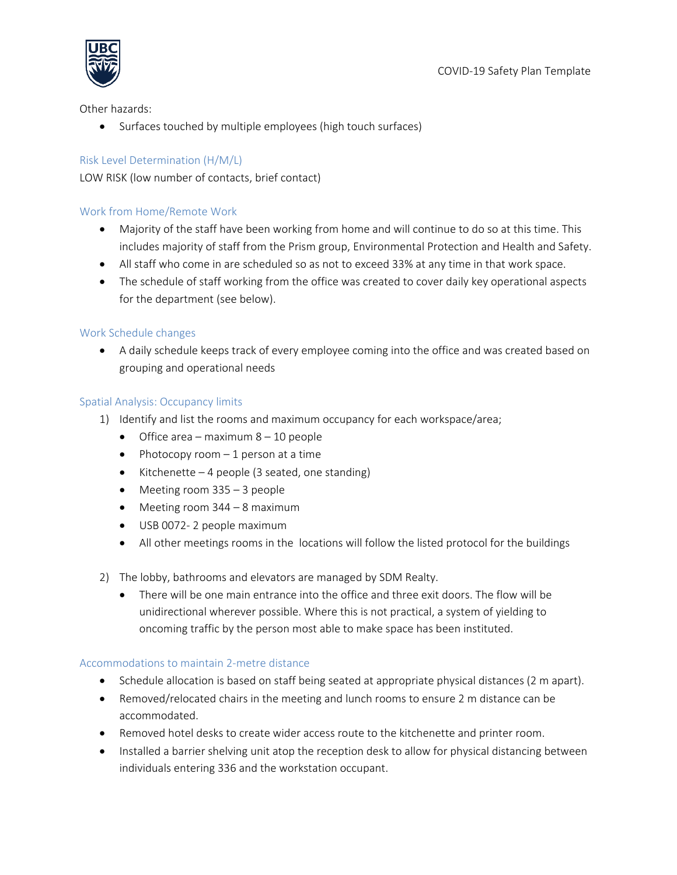

Other hazards:

• Surfaces touched by multiple employees (high touch surfaces)

### Risk Level Determination (H/M/L)

LOW RISK (low number of contacts, brief contact)

### Work from Home/Remote Work

- Majority of the staff have been working from home and will continue to do so at this time. This includes majority of staff from the Prism group, Environmental Protection and Health and Safety.
- All staff who come in are scheduled so as not to exceed 33% at any time in that work space.
- The schedule of staff working from the office was created to cover daily key operational aspects for the department (see below).

#### Work Schedule changes

• A daily schedule keeps track of every employee coming into the office and was created based on grouping and operational needs

#### Spatial Analysis: Occupancy limits

- 1) Identify and list the rooms and maximum occupancy for each workspace/area;
	- Office area maximum  $8 10$  people
	- Photocopy room  $-1$  person at a time
	- Kitchenette 4 people (3 seated, one standing)
	- Meeting room 335 3 people
	- Meeting room 344 8 maximum
	- USB 0072- 2 people maximum
	- All other meetings rooms in the locations will follow the listed protocol for the buildings
- 2) The lobby, bathrooms and elevators are managed by SDM Realty.
	- There will be one main entrance into the office and three exit doors. The flow will be unidirectional wherever possible. Where this is not practical, a system of yielding to oncoming traffic by the person most able to make space has been instituted.

#### Accommodations to maintain 2-metre distance

- Schedule allocation is based on staff being seated at appropriate physical distances (2 m apart).
- Removed/relocated chairs in the meeting and lunch rooms to ensure 2 m distance can be accommodated.
- Removed hotel desks to create wider access route to the kitchenette and printer room.
- Installed a barrier shelving unit atop the reception desk to allow for physical distancing between individuals entering 336 and the workstation occupant.